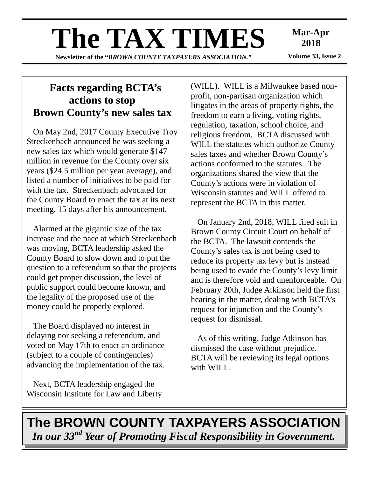# **The TAX TIMES** Mar-Apr 2018

**Newsletter of the "BROWN COUNTY TAXPAYERS ASSOCIATION."** 

**2018** 

## **Facts regarding BCTA's actions to stop Brown County's new sales tax**

On May 2nd, 2017 County Executive Troy Streckenbach announced he was seeking a new sales tax which would generate \$147 million in revenue for the County over six years (\$24.5 million per year average), and listed a number of initiatives to be paid for with the tax. Streckenbach advocated for the County Board to enact the tax at its next meeting, 15 days after his announcement.

Alarmed at the gigantic size of the tax increase and the pace at which Streckenbach was moving, BCTA leadership asked the County Board to slow down and to put the question to a referendum so that the projects could get proper discussion, the level of public support could become known, and the legality of the proposed use of the money could be properly explored.

The Board displayed no interest in delaying nor seeking a referendum, and voted on May 17th to enact an ordinance (subject to a couple of contingencies) advancing the implementation of the tax.

Next, BCTA leadership engaged the Wisconsin Institute for Law and Liberty (WILL). WILL is a Milwaukee based nonprofit, non-partisan organization which litigates in the areas of property rights, the freedom to earn a living, voting rights, regulation, taxation, school choice, and religious freedom. BCTA discussed with WILL the statutes which authorize County sales taxes and whether Brown County's actions conformed to the statutes. The organizations shared the view that the County's actions were in violation of Wisconsin statutes and WILL offered to represent the BCTA in this matter.

On January 2nd, 2018, WILL filed suit in Brown County Circuit Court on behalf of the BCTA. The lawsuit contends the County's sales tax is not being used to reduce its property tax levy but is instead being used to evade the County's levy limit and is therefore void and unenforceable. On February 20th, Judge Atkinson held the first hearing in the matter, dealing with BCTA's request for injunction and the County's request for dismissal.

As of this writing, Judge Atkinson has dismissed the case without prejudice. BCTA will be reviewing its legal options with WILL.

# **The BROWN COUNTY TAXPAYERS ASSOCIATION**  *In our 33nd Year of Promoting Fiscal Responsibility in Government.*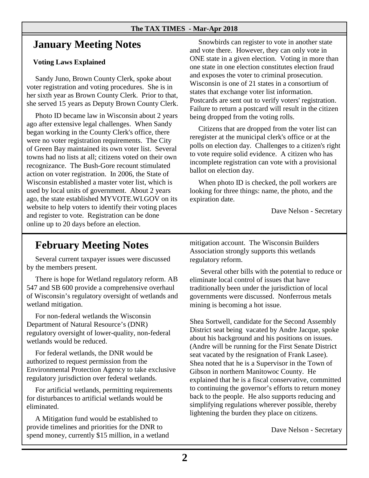#### **The TAX TIMES - Mar-Apr 2018**

## **January Meeting Notes**

#### **Voting Laws Explained**

Sandy Juno, Brown County Clerk, spoke about voter registration and voting procedures. She is in her sixth year as Brown County Clerk. Prior to that, she served 15 years as Deputy Brown County Clerk.

Photo ID became law in Wisconsin about 2 years ago after extensive legal challenges. When Sandy began working in the County Clerk's office, there were no voter registration requirements. The City of Green Bay maintained its own voter list. Several towns had no lists at all; citizens voted on their own recognizance. The Bush-Gore recount stimulated action on voter registration. In 2006, the State of Wisconsin established a master voter list, which is used by local units of government. About 2 years ago, the state established MYVOTE.WI.GOV on its website to help voters to identify their voting places and register to vote. Registration can be done online up to 20 days before an election.

Snowbirds can register to vote in another state and vote there. However, they can only vote in ONE state in a given election. Voting in more than one state in one election constitutes election fraud and exposes the voter to criminal prosecution. Wisconsin is one of 21 states in a consortium of states that exchange voter list information. Postcards are sent out to verify voters' registration. Failure to return a postcard will result in the citizen being dropped from the voting rolls.

Citizens that are dropped from the voter list can reregister at the municipal clerk's office or at the polls on election day. Challenges to a citizen's right to vote require solid evidence. A citizen who has incomplete registration can vote with a provisional ballot on election day.

When photo ID is checked, the poll workers are looking for three things: name, the photo, and the expiration date.

Dave Nelson - Secretary

## **February Meeting Notes**

Several current taxpayer issues were discussed by the members present.

There is hope for Wetland regulatory reform. AB 547 and SB 600 provide a comprehensive overhaul of Wisconsin's regulatory oversight of wetlands and wetland mitigation.

For non-federal wetlands the Wisconsin Department of Natural Resource's (DNR) regulatory oversight of lower-quality, non-federal wetlands would be reduced.

For federal wetlands, the DNR would be authorized to request permission from the Environmental Protection Agency to take exclusive regulatory jurisdiction over federal wetlands.

For artificial wetlands, permitting requirements for disturbances to artificial wetlands would be eliminated.

A Mitigation fund would be established to provide timelines and priorities for the DNR to spend money, currently \$15 million, in a wetland mitigation account. The Wisconsin Builders Association strongly supports this wetlands regulatory reform.

 Several other bills with the potential to reduce or eliminate local control of issues that have traditionally been under the jurisdiction of local governments were discussed. Nonferrous metals mining is becoming a hot issue.

Shea Sortwell, candidate for the Second Assembly District seat being vacated by Andre Jacque, spoke about his background and his positions on issues. (Andre will be running for the First Senate District seat vacated by the resignation of Frank Lasee). Shea noted that he is a Supervisor in the Town of Gibson in northern Manitowoc County. He explained that he is a fiscal conservative, committed to continuing the governor's efforts to return money back to the people. He also supports reducing and simplifying regulations wherever possible, thereby lightening the burden they place on citizens.

Dave Nelson - Secretary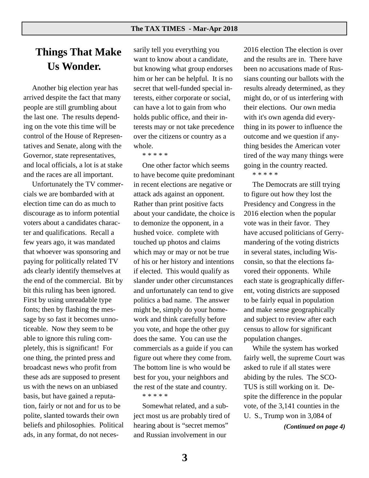## **Things That Make Us Wonder.**

Another big election year has arrived despite the fact that many people are still grumbling about the last one. The results depending on the vote this time will be control of the House of Representatives and Senate, along with the Governor, state representatives, and local officials, a lot is at stake and the races are all important.

Unfortunately the TV commercials we are bombarded with at election time can do as much to discourage as to inform potential voters about a candidates character and qualifications. Recall a few years ago, it was mandated that whoever was sponsoring and paying for politically related TV ads clearly identify themselves at the end of the commercial. Bit by bit this ruling has been ignored. First by using unreadable type fonts; then by flashing the message by so fast it becomes unnoticeable. Now they seem to be able to ignore this ruling completely, this is significant! For one thing, the printed press and broadcast news who profit from these ads are supposed to present us with the news on an unbiased basis, but have gained a reputation, fairly or not and for us to be polite, slanted towards their own beliefs and philosophies. Political ads, in any format, do not neces-

sarily tell you everything you want to know about a candidate, but knowing what group endorses him or her can be helpful. It is no secret that well-funded special interests, either corporate or social, can have a lot to gain from who holds public office, and their interests may or not take precedence over the citizens or country as a whole.

\* \* \* \* \*

One other factor which seems to have become quite predominant in recent elections are negative or attack ads against an opponent. Rather than print positive facts about your candidate, the choice is to demonize the opponent, in a hushed voice. complete with touched up photos and claims which may or may or not be true of his or her history and intentions if elected. This would qualify as slander under other circumstances and unfortunately can tend to give politics a bad name. The answer might be, simply do your homework and think carefully before you vote, and hope the other guy does the same. You can use the commercials as a guide if you can figure out where they come from. The bottom line is who would be best for you, your neighbors and the rest of the state and country. \* \* \* \* \*

Somewhat related, and a subject most us are probably tired of hearing about is "secret memos" and Russian involvement in our

2016 election The election is over and the results are in. There have been no accusations made of Russians counting our ballots with the results already determined, as they might do, or of us interfering with their elections. Our own media with it's own agenda did everything in its power to influence the outcome and we question if anything besides the American voter tired of the way many things were going in the country reacted.

#### \* \* \* \* \*

The Democrats are still trying to figure out how they lost the Presidency and Congress in the 2016 election when the popular vote was in their favor. They have accused politicians of Gerrymandering of the voting districts in several states, including Wisconsin, so that the elections favored their opponents. While each state is geographically different, voting districts are supposed to be fairly equal in population and make sense geographically and subject to review after each census to allow for significant population changes.

While the system has worked fairly well, the supreme Court was asked to rule if all states were abiding by the rules. The SCO-TUS is still working on it. Despite the difference in the popular vote, of the 3,141 counties in the U. S., Trump won in 3,084 of

*(Continued on page 4)*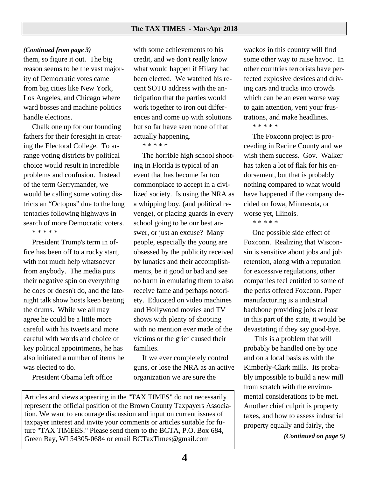#### *(Continued from page 3)*

them, so figure it out. The big reason seems to be the vast majority of Democratic votes came from big cities like New York, Los Angeles, and Chicago where ward bosses and machine politics handle elections.

Chalk one up for our founding fathers for their foresight in creating the Electoral College. To arrange voting districts by political choice would result in incredible problems and confusion. Instead of the term Gerrymander, we would be calling some voting districts an "Octopus" due to the long tentacles following highways in search of more Democratic voters. \* \* \* \* \*

President Trump's term in office has been off to a rocky start, with not much help whatsoever from anybody. The media puts their negative spin on everything he does or doesn't do, and the latenight talk show hosts keep beating the drums. While we all may agree he could be a little more careful with his tweets and more careful with words and choice of key political appointments, he has also initiated a number of items he was elected to do.

President Obama left office

with some achievements to his credit, and we don't really know what would happen if Hilary had been elected. We watched his recent SOTU address with the anticipation that the parties would work together to iron out differences and come up with solutions but so far have seen none of that actually happening.

\* \* \* \* \*

The horrible high school shooting in Florida is typical of an event that has become far too commonplace to accept in a civilized society. Is using the NRA as a whipping boy, (and political revenge), or placing guards in every school going to be our best answer, or just an excuse? Many people, especially the young are obsessed by the publicity received by lunatics and their accomplishments, be it good or bad and see no harm in emulating them to also receive fame and perhaps notoriety. Educated on video machines and Hollywood movies and TV shows with plenty of shooting with no mention ever made of the victims or the grief caused their families.

If we ever completely control guns, or lose the NRA as an active organization we are sure the

Articles and views appearing in the "TAX TIMES" do not necessarily represent the official position of the Brown County Taxpayers Association. We want to encourage discussion and input on current issues of taxpayer interest and invite your comments or articles suitable for future "TAX TIMEES." Please send them to the BCTA, P.O. Box 684, Green Bay, WI 54305-0684 or email BCTaxTimes@gmail.com

wackos in this country will find some other way to raise havoc. In other countries terrorists have perfected explosive devices and driving cars and trucks into crowds which can be an even worse way to gain attention, vent your frustrations, and make headlines.

#### \* \* \* \* \*

The Foxconn project is proceeding in Racine County and we wish them success. Gov. Walker has taken a lot of flak for his endorsement, but that is probably nothing compared to what would have happened if the company decided on Iowa, Minnesota, or worse yet, Illinois.

\* \* \* \* \*

One possible side effect of Foxconn. Realizing that Wisconsin is sensitive about jobs and job retention, along with a reputation for excessive regulations, other companies feel entitled to some of the perks offered Foxconn. Paper manufacturing is a industrial backbone providing jobs at least in this part of the state, it would be devastating if they say good-bye.

 This is a problem that will probably be handled one by one and on a local basis as with the Kimberly-Clark mills. Its probably impossible to build a new mill from scratch with the environmental considerations to be met. Another chief culprit is property taxes, and how to assess industrial property equally and fairly, the

*(Continued on page 5)*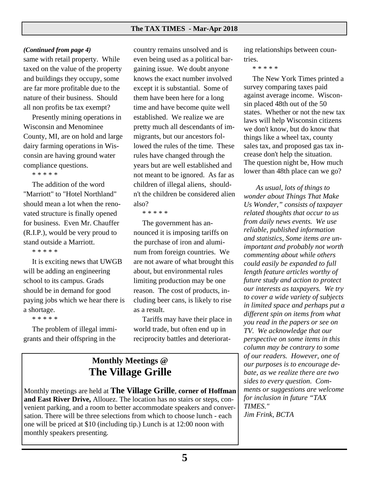#### *(Continued from page 4)*

same with retail property. While taxed on the value of the property and buildings they occupy, some are far more profitable due to the nature of their business. Should all non profits be tax exempt?

Presently mining operations in Wisconsin and Menominee County, MI, are on hold and large dairy farming operations in Wisconsin are having ground water compliance questions.

\* \* \* \* \*

The addition of the word "Marriott" to "Hotel Northland" should mean a lot when the renovated structure is finally opened for business. Even Mr. Chauffer (R.I.P.), would be very proud to stand outside a Marriott.

\* \* \* \* \*

It is exciting news that UWGB will be adding an engineering school to its campus. Grads should be in demand for good paying jobs which we hear there is a shortage.

\* \* \* \* \*

The problem of illegal immigrants and their offspring in the

country remains unsolved and is even being used as a political bargaining issue. We doubt anyone knows the exact number involved except it is substantial. Some of them have been here for a long time and have become quite well established. We realize we are pretty much all descendants of immigrants, but our ancestors followed the rules of the time. These rules have changed through the years but are well established and not meant to be ignored. As far as children of illegal aliens, shouldn't the children be considered alien also?

\* \* \* \* \*

The government has announced it is imposing tariffs on the purchase of iron and aluminum from foreign countries. We are not aware of what brought this about, but environmental rules limiting production may be one reason. The cost of products, including beer cans, is likely to rise as a result.

Tariffs may have their place in world trade, but often end up in reciprocity battles and deteriorat-

### **Monthly Meetings @ The Village Grille**

Monthly meetings are held at **The Village Grille**, **corner of Hoffman and East River Drive,** Allouez. The location has no stairs or steps, convenient parking, and a room to better accommodate speakers and conversation. There will be three selections from which to choose lunch - each one will be priced at \$10 (including tip.) Lunch is at 12:00 noon with monthly speakers presenting.

ing relationships between countries.

\* \* \* \* \*

The New York Times printed a survey comparing taxes paid against average income. Wisconsin placed 48th out of the 50 states. Whether or not the new tax laws will help Wisconsin citizens we don't know, but do know that things like a wheel tax, county sales tax, and proposed gas tax increase don't help the situation. The question night be, How much lower than 48th place can we go?

 *As usual, lots of things to wonder about Things That Make Us Wonder," consists of taxpayer related thoughts that occur to us from daily news events. We use reliable, published information and statistics, Some items are unimportant and probably not worth commenting about while others could easily be expanded to full length feature articles worthy of future study and action to protect our interests as taxpayers. We try to cover a wide variety of subjects in limited space and perhaps put a different spin on items from what you read in the papers or see on TV. We acknowledge that our perspective on some items in this column may be contrary to some of our readers. However, one of our purposes is to encourage debate, as we realize there are two sides to every question. Comments or suggestions are welcome for inclusion in future "TAX TIMES." Jim Frink, BCTA*